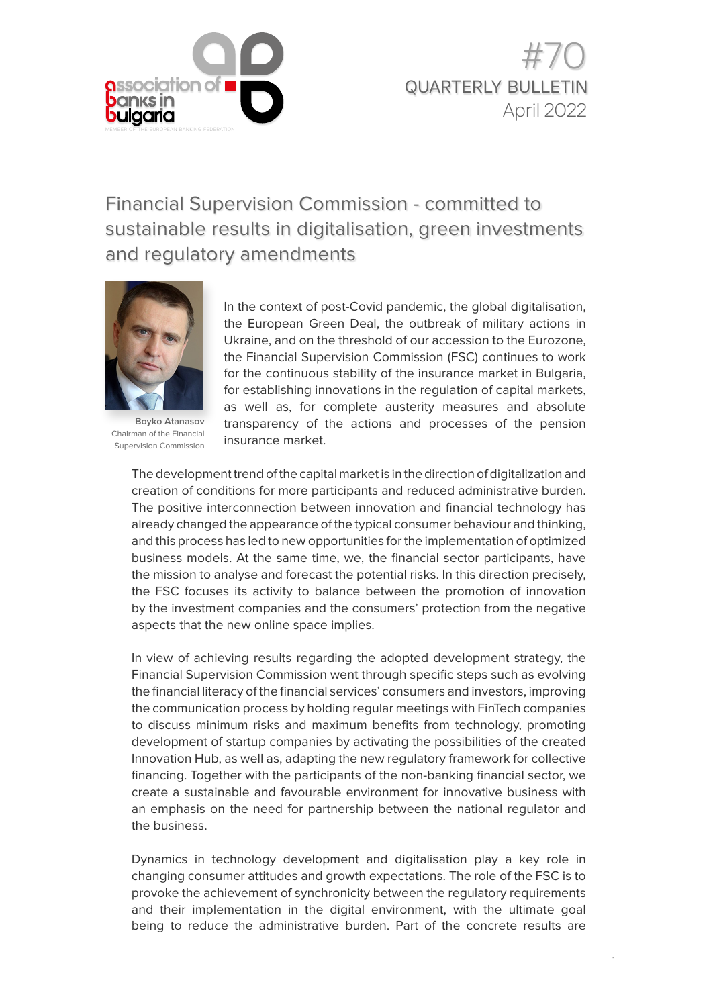

Financial Supervision Commission - committed to sustainable results in digitalisation, green investments and regulatory amendments



**Boyko Atanasov**  Chairman of the Financial Supervision Commission

In the context of post-Covid pandemic, the global digitalisation, the European Green Deal, the outbreak of military actions in Ukraine, and on the threshold of our accession to the Eurozone, the Financial Supervision Commission (FSC) continues to work for the continuous stability of the insurance market in Bulgaria, for establishing innovations in the regulation of capital markets, as well as, for complete austerity measures and absolute transparency of the actions and processes of the pension insurance market.

The development trend of the capital market is in the direction of digitalization and creation of conditions for more participants and reduced administrative burden. The positive interconnection between innovation and financial technology has already changed the appearance of the typical consumer behaviour and thinking, and this process has led to new opportunities for the implementation of optimized business models. At the same time, we, the financial sector participants, have the mission to analyse and forecast the potential risks. In this direction precisely, the FSC focuses its activity to balance between the promotion of innovation by the investment companies and the consumers' protection from the negative aspects that the new online space implies.

In view of achieving results regarding the adopted development strategy, the Financial Supervision Commission went through specific steps such as evolving the financial literacy of the financial services' consumers and investors, improving the communication process by holding regular meetings with FinTech companies to discuss minimum risks and maximum benefits from technology, promoting development of startup companies by activating the possibilities of the created Innovation Hub, as well as, adapting the new regulatory framework for collective financing. Together with the participants of the non-banking financial sector, we create a sustainable and favourable environment for innovative business with an emphasis on the need for partnership between the national regulator and the business.

Dynamics in technology development and digitalisation play a key role in changing consumer attitudes and growth expectations. The role of the FSC is to provoke the achievement of synchronicity between the regulatory requirements and their implementation in the digital environment, with the ultimate goal being to reduce the administrative burden. Part of the concrete results are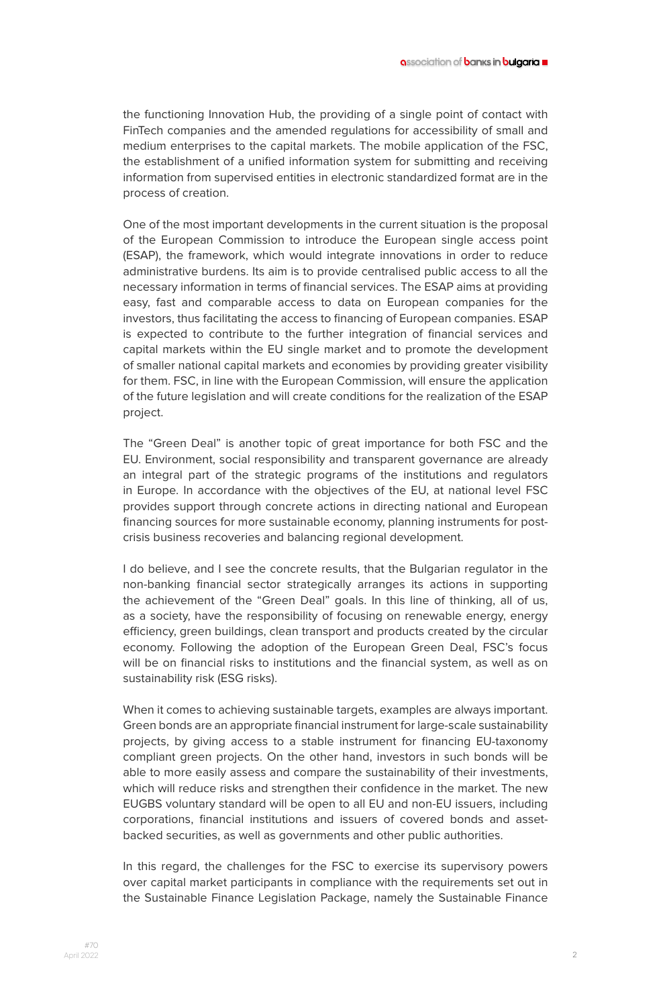the functioning Innovation Hub, the providing of a single point of contact with FinTech companies and the amended regulations for accessibility of small and medium enterprises to the capital markets. The mobile application of the FSC, the establishment of a unified information system for submitting and receiving information from supervised entities in electronic standardized format are in the process of creation.

One of the most important developments in the current situation is the proposal of the European Commission to introduce the European single access point (ESAP), the framework, which would integrate innovations in order to reduce administrative burdens. Its aim is to provide centralised public access to all the necessary information in terms of financial services. The ESAP aims at providing easy, fast and comparable access to data on European companies for the investors, thus facilitating the access to financing of European companies. ESAP is expected to contribute to the further integration of financial services and capital markets within the EU single market and to promote the development of smaller national capital markets and economies by providing greater visibility for them. FSC, in line with the European Commission, will ensure the application of the future legislation and will create conditions for the realization of the ESAP project.

The "Green Deal" is another topic of great importance for both FSC and the EU. Environment, social responsibility and transparent governance are already an integral part of the strategic programs of the institutions and regulators in Europe. In accordance with the objectives of the EU, at national level FSC provides support through concrete actions in directing national and European financing sources for more sustainable economy, planning instruments for postcrisis business recoveries and balancing regional development.

I do believe, and I see the concrete results, that the Bulgarian regulator in the non-banking financial sector strategically arranges its actions in supporting the achievement of the "Green Deal" goals. In this line of thinking, all of us, as a society, have the responsibility of focusing on renewable energy, energy efficiency, green buildings, clean transport and products created by the circular economy. Following the adoption of the European Green Deal, FSC's focus will be on financial risks to institutions and the financial system, as well as on sustainability risk (ESG risks).

When it comes to achieving sustainable targets, examples are always important. Green bonds are an appropriate financial instrument for large-scale sustainability projects, by giving access to a stable instrument for financing EU-taxonomy compliant green projects. On the other hand, investors in such bonds will be able to more easily assess and compare the sustainability of their investments, which will reduce risks and strengthen their confidence in the market. The new EUGBS voluntary standard will be open to all EU and non-EU issuers, including corporations, financial institutions and issuers of covered bonds and assetbacked securities, as well as governments and other public authorities.

In this regard, the challenges for the FSC to exercise its supervisory powers over capital market participants in compliance with the requirements set out in the Sustainable Finance Legislation Package, namely the Sustainable Finance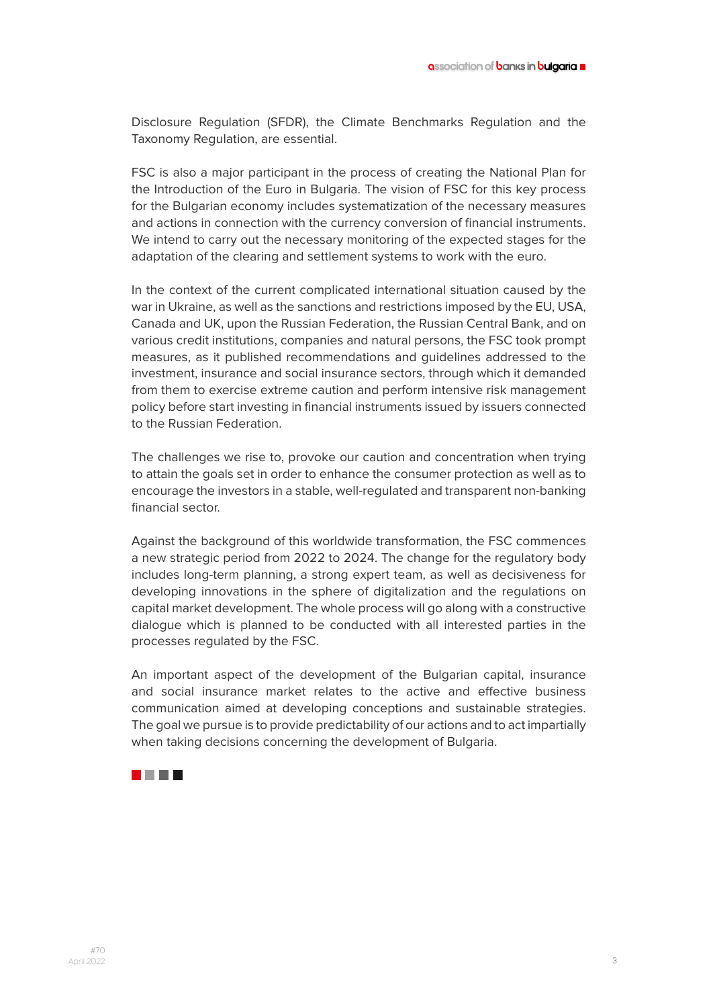Disclosure Regulation (SFDR), the Climate Benchmarks Regulation and the Taxonomy Regulation, are essential.

FSC is also a major participant in the process of creating the National Plan for the Introduction of the Euro in Bulgaria. The vision of FSC for this key process for the Bulgarian economy includes systematization of the necessary measures and actions in connection with the currency conversion of financial instruments. We intend to carry out the necessary monitoring of the expected stages for the adaptation of the clearing and settlement systems to work with the euro.

In the context of the current complicated international situation caused by the war in Ukraine, as well as the sanctions and restrictions imposed by the EU, USA, Canada and UK, upon the Russian Federation, the Russian Central Bank, and on various credit institutions, companies and natural persons, the FSC took prompt measures, as it published recommendations and guidelines addressed to the investment, insurance and social insurance sectors, through which it demanded from them to exercise extreme caution and perform intensive risk management policy before start investing in financial instruments issued by issuers connected to the Russian Federation.

The challenges we rise to, provoke our caution and concentration when trying to attain the goals set in order to enhance the consumer protection as well as to encourage the investors in a stable, well-regulated and transparent non-banking financial sector.

Against the background of this worldwide transformation, the FSC commences a new strategic period from 2022 to 2024. The change for the regulatory body includes long-term planning, a strong expert team, as well as decisiveness for developing innovations in the sphere of digitalization and the regulations on capital market development. The whole process will go along with a constructive dialogue which is planned to be conducted with all interested parties in the processes regulated by the FSC.

An important aspect of the development of the Bulgarian capital, insurance and social insurance market relates to the active and effective business communication aimed at developing conceptions and sustainable strategies. The goal we pursue is to provide predictability of our actions and to act impartially when taking decisions concerning the development of Bulgaria.

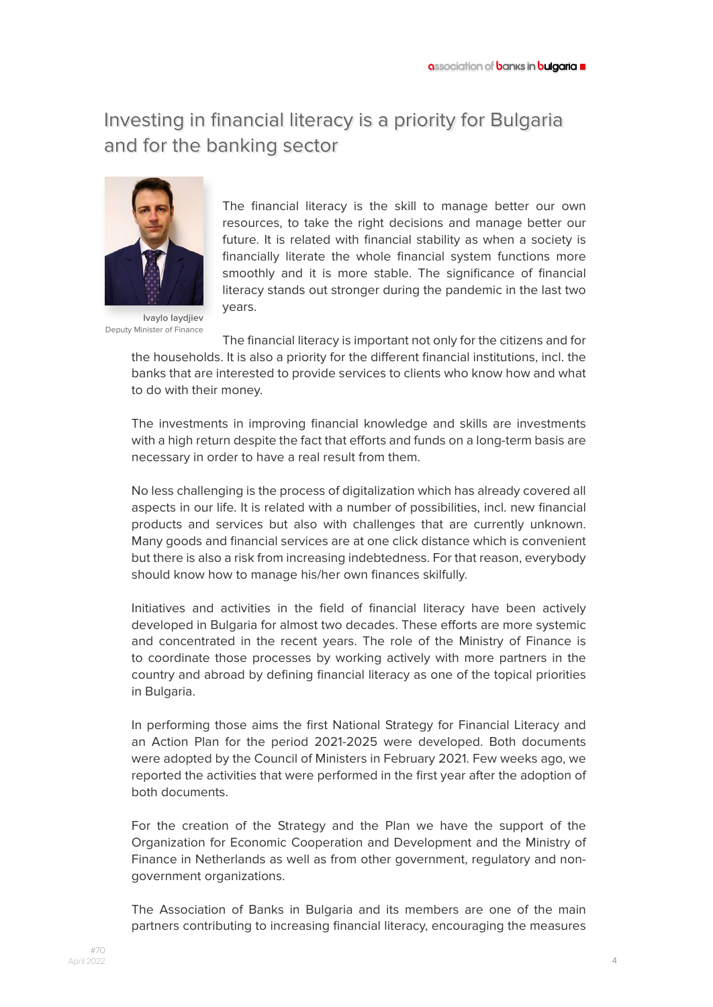# Investing in financial literacy is a priority for Bulgaria and for the banking sector



The financial literacy is the skill to manage better our own resources, to take the right decisions and manage better our future. It is related with financial stability as when a society is financially literate the whole financial system functions more smoothly and it is more stable. The significance of financial literacy stands out stronger during the pandemic in the last two years.

**Ivaylo Iaydjiev**  Deputy Minister of Finance

The financial literacy is important not only for the citizens and for the households. It is also a priority for the different financial institutions, incl. the banks that are interested to provide services to clients who know how and what to do with their money.

The investments in improving financial knowledge and skills are investments with a high return despite the fact that efforts and funds on a long-term basis are necessary in order to have a real result from them.

No less challenging is the process of digitalization which has already covered all aspects in our life. It is related with a number of possibilities, incl. new financial products and services but also with challenges that are currently unknown. Many goods and financial services are at one click distance which is convenient but there is also a risk from increasing indebtedness. For that reason, everybody should know how to manage his/her own finances skilfully.

Initiatives and activities in the field of financial literacy have been actively developed in Bulgaria for almost two decades. These efforts are more systemic and concentrated in the recent years. The role of the Ministry of Finance is to coordinate those processes by working actively with more partners in the country and abroad by defining financial literacy as one of the topical priorities in Bulgaria.

In performing those aims the first National Strategy for Financial Literacy and an Action Plan for the period 2021-2025 were developed. Both documents were adopted by the Council of Ministers in February 2021. Few weeks ago, we reported the activities that were performed in the first year after the adoption of both documents.

For the creation of the Strategy and the Plan we have the support of the Organization for Economic Cooperation and Development and the Ministry of Finance in Netherlands as well as from other government, regulatory and nongovernment organizations.

The Association of Banks in Bulgaria and its members are one of the main partners contributing to increasing financial literacy, encouraging the measures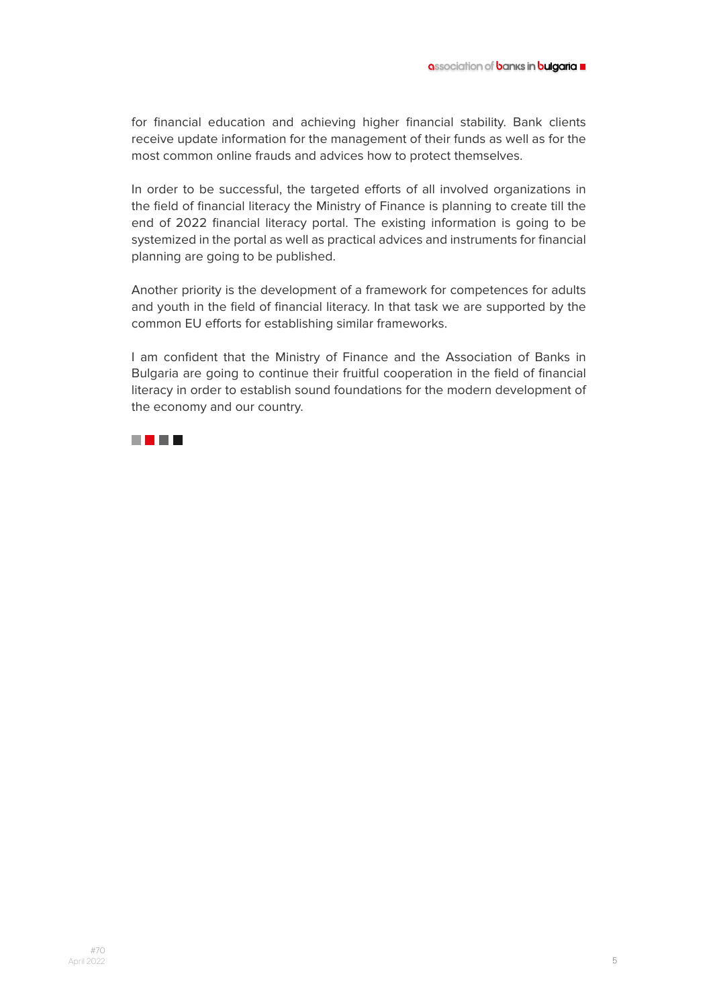for financial education and achieving higher financial stability. Bank clients receive update information for the management of their funds as well as for the most common online frauds and advices how to protect themselves.

In order to be successful, the targeted efforts of all involved organizations in the field of financial literacy the Ministry of Finance is planning to create till the end of 2022 financial literacy portal. The existing information is going to be systemized in the portal as well as practical advices and instruments for financial planning are going to be published.

Another priority is the development of a framework for competences for adults and youth in the field of financial literacy. In that task we are supported by the common EU efforts for establishing similar frameworks.

I am confident that the Ministry of Finance and the Association of Banks in Bulgaria are going to continue their fruitful cooperation in the field of financial literacy in order to establish sound foundations for the modern development of the economy and our country.

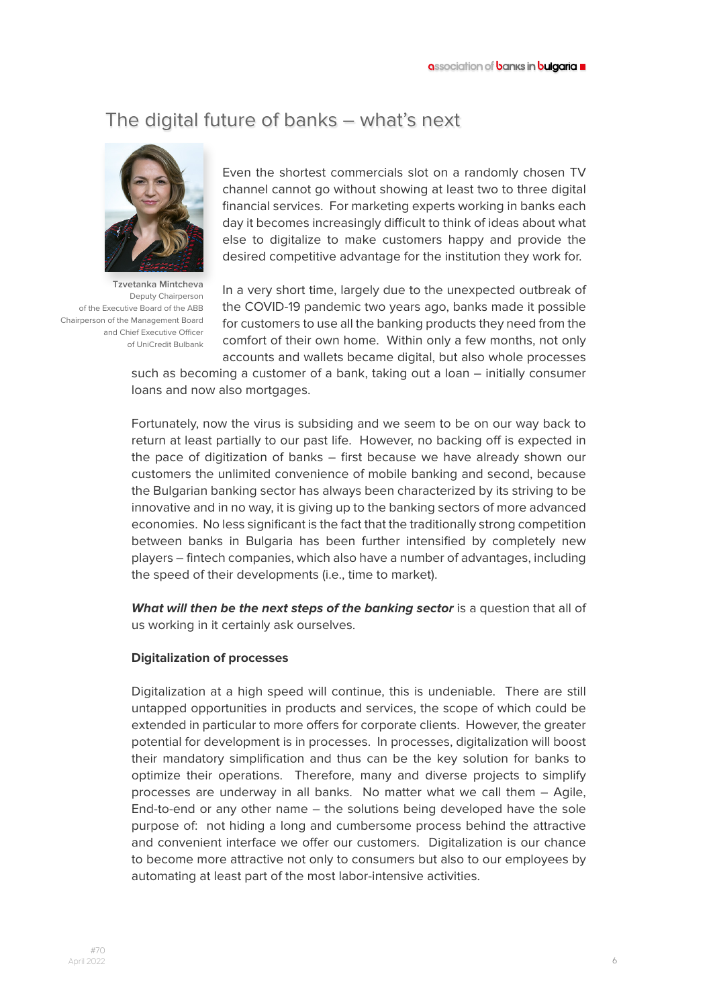## The digital future of banks – what's next



**Tzvetanka Mintcheva**  Deputy Chairperson of the Executive Board of the ABB Chairperson of the Management Board and Chief Executive Officer of UniCredit Bulbank

Even the shortest commercials slot on a randomly chosen TV channel cannot go without showing at least two to three digital financial services. For marketing experts working in banks each day it becomes increasingly difficult to think of ideas about what else to digitalize to make customers happy and provide the desired competitive advantage for the institution they work for.

In a very short time, largely due to the unexpected outbreak of the COVID-19 pandemic two years ago, banks made it possible for customers to use all the banking products they need from the comfort of their own home. Within only a few months, not only accounts and wallets became digital, but also whole processes

such as becoming a customer of a bank, taking out a loan – initially consumer loans and now also mortgages.

Fortunately, now the virus is subsiding and we seem to be on our way back to return at least partially to our past life. However, no backing off is expected in the pace of digitization of banks – first because we have already shown our customers the unlimited convenience of mobile banking and second, because the Bulgarian banking sector has always been characterized by its striving to be innovative and in no way, it is giving up to the banking sectors of more advanced economies. No less significant is the fact that the traditionally strong competition between banks in Bulgaria has been further intensified by completely new players – fintech companies, which also have a number of advantages, including the speed of their developments (i.e., time to market).

**What will then be the next steps of the banking sector** is a question that all of us working in it certainly ask ourselves.

#### **Digitalization of processes**

Digitalization at a high speed will continue, this is undeniable. There are still untapped opportunities in products and services, the scope of which could be extended in particular to more offers for corporate clients. However, the greater potential for development is in processes. In processes, digitalization will boost their mandatory simplification and thus can be the key solution for banks to optimize their operations. Therefore, many and diverse projects to simplify processes are underway in all banks. No matter what we call them – Agile, End-to-end or any other name – the solutions being developed have the sole purpose of: not hiding a long and cumbersome process behind the attractive and convenient interface we offer our customers. Digitalization is our chance to become more attractive not only to consumers but also to our employees by automating at least part of the most labor-intensive activities.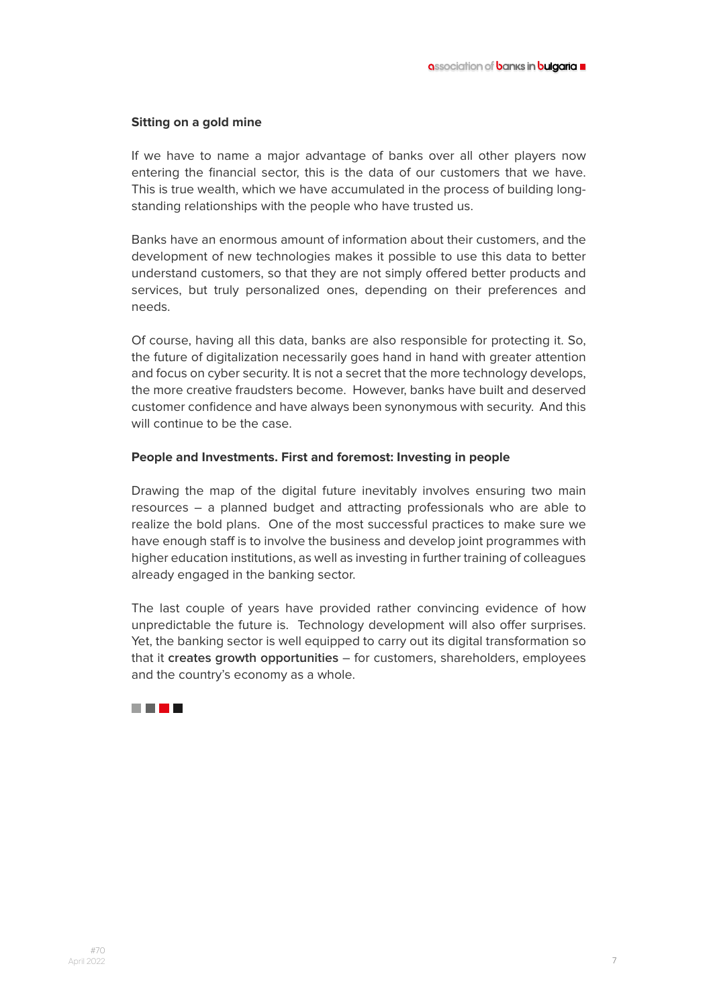#### **Sitting on a gold mine**

If we have to name a major advantage of banks over all other players now entering the financial sector, this is the data of our customers that we have. This is true wealth, which we have accumulated in the process of building longstanding relationships with the people who have trusted us.

Banks have an enormous amount of information about their customers, and the development of new technologies makes it possible to use this data to better understand customers, so that they are not simply offered better products and services, but truly personalized ones, depending on their preferences and needs.

Of course, having all this data, banks are also responsible for protecting it. So, the future of digitalization necessarily goes hand in hand with greater attention and focus on cyber security. It is not a secret that the more technology develops, the more creative fraudsters become. However, banks have built and deserved customer confidence and have always been synonymous with security. And this will continue to be the case.

### **People and Investments. First and foremost: Investing in people**

Drawing the map of the digital future inevitably involves ensuring two main resources – a planned budget and attracting professionals who are able to realize the bold plans. One of the most successful practices to make sure we have enough staff is to involve the business and develop joint programmes with higher education institutions, as well as investing in further training of colleagues already engaged in the banking sector.

The last couple of years have provided rather convincing evidence of how unpredictable the future is. Technology development will also offer surprises. Yet, the banking sector is well equipped to carry out its digital transformation so that it **creates growth opportunities** – for customers, shareholders, employees and the country's economy as a whole.

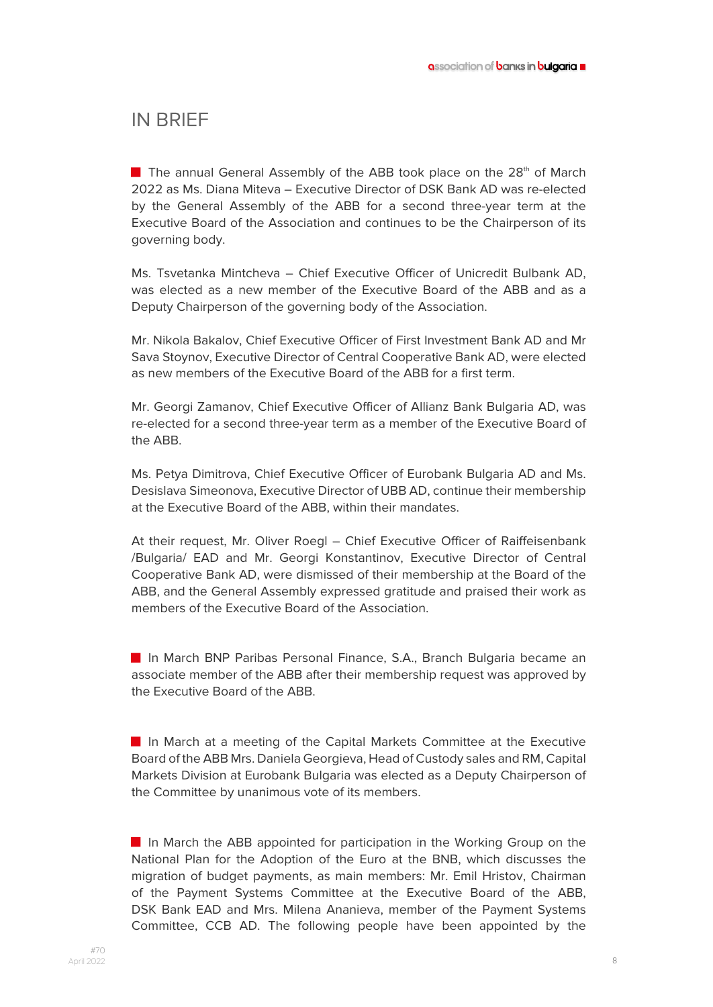### IN BRIEF

**■** The annual General Assembly of the ABB took place on the  $28<sup>th</sup>$  of March 2022 as Ms. Diana Miteva – Executive Director of DSK Bank AD was re-elected by the General Assembly of the ABB for a second three-year term at the Executive Board of the Association and continues to be the Chairperson of its governing body.

Ms. Tsvetanka Mintcheva – Chief Executive Officer of Unicredit Bulbank AD, was elected as a new member of the Executive Board of the ABB and as a Deputy Chairperson of the governing body of the Association.

Mr. Nikola Bakalov, Chief Executive Officer of First Investment Bank AD and Mr Sava Stoynov, Executive Director of Central Cooperative Bank AD, were elected as new members of the Executive Board of the ABB for a first term.

Mr. Georgi Zamanov, Chief Executive Officer of Allianz Bank Bulgaria AD, was re-elected for a second three-year term as a member of the Executive Board of the ABB.

Ms. Petya Dimitrova, Chief Executive Officer of Eurobank Bulgaria AD and Ms. Desislava Simeonova, Executive Director of UBB AD, continue their membership at the Executive Board of the ABB, within their mandates.

At their request, Mr. Oliver Roegl – Chief Executive Officer of Raiffeisenbank /Bulgaria/ EAD and Mr. Georgi Konstantinov, Executive Director of Central Cooperative Bank AD, were dismissed of their membership at the Board of the ABB, and the General Assembly expressed gratitude and praised their work as members of the Executive Board of the Association.

■ In March BNP Paribas Personal Finance, S.A., Branch Bulgaria became an associate member of the ABB after their membership request was approved by the Executive Board of the ABB.

■ In March at a meeting of the Capital Markets Committee at the Executive Board of the ABB Mrs. Daniela Georgieva, Head of Custody sales and RM, Capital Markets Division at Eurobank Bulgaria was elected as a Deputy Chairperson of the Committee by unanimous vote of its members.

■ In March the ABB appointed for participation in the Working Group on the National Plan for the Adoption of the Euro at the BNB, which discusses the migration of budget payments, as main members: Mr. Emil Hristov, Chairman of the Payment Systems Committee at the Executive Board of the ABB, DSK Bank EAD and Mrs. Milena Ananieva, member of the Payment Systems Committee, CCB AD. The following people have been appointed by the